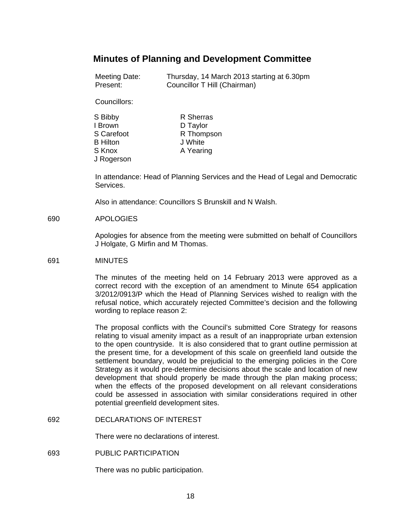# **Minutes of Planning and Development Committee**

| Meeting Date: | Thursday, 14 March 2013 starting at 6.30pm |
|---------------|--------------------------------------------|
| Present:      | Councillor T Hill (Chairman)               |

Councillors:

| S Bibby         | R Sherras  |
|-----------------|------------|
| I Brown         | D Taylor   |
| S Carefoot      | R Thompson |
| <b>B</b> Hilton | J White    |
| S Knox          | A Yearing  |
| J Rogerson      |            |

In attendance: Head of Planning Services and the Head of Legal and Democratic Services.

Also in attendance: Councillors S Brunskill and N Walsh.

#### 690 APOLOGIES

Apologies for absence from the meeting were submitted on behalf of Councillors J Holgate, G Mirfin and M Thomas.

#### 691 MINUTES

The minutes of the meeting held on 14 February 2013 were approved as a correct record with the exception of an amendment to Minute 654 application 3/2012/0913/P which the Head of Planning Services wished to realign with the refusal notice, which accurately rejected Committee's decision and the following wording to replace reason 2:

The proposal conflicts with the Council's submitted Core Strategy for reasons relating to visual amenity impact as a result of an inappropriate urban extension to the open countryside. It is also considered that to grant outline permission at the present time, for a development of this scale on greenfield land outside the settlement boundary, would be prejudicial to the emerging policies in the Core Strategy as it would pre-determine decisions about the scale and location of new development that should properly be made through the plan making process; when the effects of the proposed development on all relevant considerations could be assessed in association with similar considerations required in other potential greenfield development sites.

692 DECLARATIONS OF INTEREST

There were no declarations of interest.

693 PUBLIC PARTICIPATION

There was no public participation.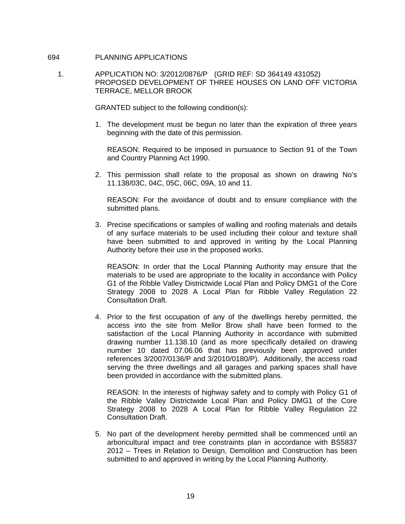### 694 PLANNING APPLICATIONS

 1. APPLICATION NO: 3/2012/0876/P (GRID REF: SD 364149 431052) PROPOSED DEVELOPMENT OF THREE HOUSES ON LAND OFF VICTORIA TERRACE, MELLOR BROOK

GRANTED subject to the following condition(s):

1. The development must be begun no later than the expiration of three years beginning with the date of this permission.

 REASON: Required to be imposed in pursuance to Section 91 of the Town and Country Planning Act 1990.

2. This permission shall relate to the proposal as shown on drawing No's 11.138/03C, 04C, 05C, 06C, 09A, 10 and 11.

 REASON: For the avoidance of doubt and to ensure compliance with the submitted plans.

3. Precise specifications or samples of walling and roofing materials and details of any surface materials to be used including their colour and texture shall have been submitted to and approved in writing by the Local Planning Authority before their use in the proposed works.

 REASON: In order that the Local Planning Authority may ensure that the materials to be used are appropriate to the locality in accordance with Policy G1 of the Ribble Valley Districtwide Local Plan and Policy DMG1 of the Core Strategy 2008 to 2028 A Local Plan for Ribble Valley Regulation 22 Consultation Draft.

4. Prior to the first occupation of any of the dwellings hereby permitted, the access into the site from Mellor Brow shall have been formed to the satisfaction of the Local Planning Authority in accordance with submitted drawing number 11.138.10 (and as more specifically detailed on drawing number 10 dated 07.06.06 that has previously been approved under references 3/2007/0136/P and 3/2010/0180/P). Additionally, the access road serving the three dwellings and all garages and parking spaces shall have been provided in accordance with the submitted plans.

 REASON: In the interests of highway safety and to comply with Policy G1 of the Ribble Valley Districtwide Local Plan and Policy DMG1 of the Core Strategy 2008 to 2028 A Local Plan for Ribble Valley Regulation 22 Consultation Draft.

5. No part of the development hereby permitted shall be commenced until an arboricultural impact and tree constraints plan in accordance with BS5837 2012 – Trees in Relation to Design, Demolition and Construction has been submitted to and approved in writing by the Local Planning Authority.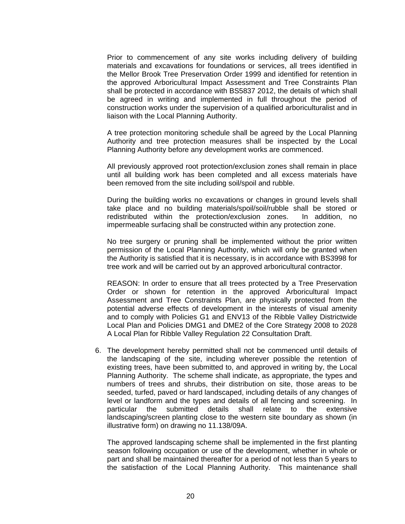Prior to commencement of any site works including delivery of building materials and excavations for foundations or services, all trees identified in the Mellor Brook Tree Preservation Order 1999 and identified for retention in the approved Arboricultural Impact Assessment and Tree Constraints Plan shall be protected in accordance with BS5837 2012, the details of which shall be agreed in writing and implemented in full throughout the period of construction works under the supervision of a qualified arboriculturalist and in liaison with the Local Planning Authority.

 A tree protection monitoring schedule shall be agreed by the Local Planning Authority and tree protection measures shall be inspected by the Local Planning Authority before any development works are commenced.

 All previously approved root protection/exclusion zones shall remain in place until all building work has been completed and all excess materials have been removed from the site including soil/spoil and rubble.

 During the building works no excavations or changes in ground levels shall take place and no building materials/spoil/soil/rubble shall be stored or redistributed within the protection/exclusion zones. In addition, no impermeable surfacing shall be constructed within any protection zone.

 No tree surgery or pruning shall be implemented without the prior written permission of the Local Planning Authority, which will only be granted when the Authority is satisfied that it is necessary, is in accordance with BS3998 for tree work and will be carried out by an approved arboricultural contractor.

 REASON: In order to ensure that all trees protected by a Tree Preservation Order or shown for retention in the approved Arboricultural Impact Assessment and Tree Constraints Plan, are physically protected from the potential adverse effects of development in the interests of visual amenity and to comply with Policies G1 and ENV13 of the Ribble Valley Districtwide Local Plan and Policies DMG1 and DME2 of the Core Strategy 2008 to 2028 A Local Plan for Ribble Valley Regulation 22 Consultation Draft.

6. The development hereby permitted shall not be commenced until details of the landscaping of the site, including wherever possible the retention of existing trees, have been submitted to, and approved in writing by, the Local Planning Authority. The scheme shall indicate, as appropriate, the types and numbers of trees and shrubs, their distribution on site, those areas to be seeded, turfed, paved or hard landscaped, including details of any changes of level or landform and the types and details of all fencing and screening. In particular the submitted details shall relate to the extensive landscaping/screen planting close to the western site boundary as shown (in illustrative form) on drawing no 11.138/09A.

 The approved landscaping scheme shall be implemented in the first planting season following occupation or use of the development, whether in whole or part and shall be maintained thereafter for a period of not less than 5 years to the satisfaction of the Local Planning Authority. This maintenance shall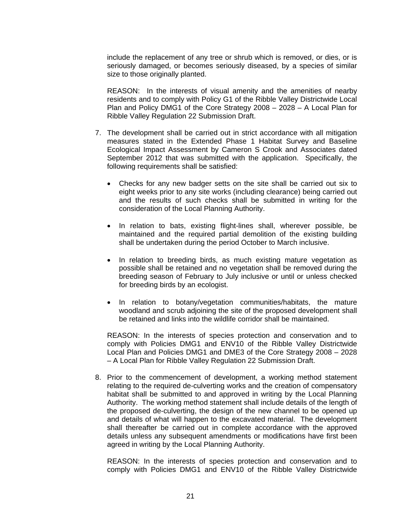include the replacement of any tree or shrub which is removed, or dies, or is seriously damaged, or becomes seriously diseased, by a species of similar size to those originally planted.

 REASON: In the interests of visual amenity and the amenities of nearby residents and to comply with Policy G1 of the Ribble Valley Districtwide Local Plan and Policy DMG1 of the Core Strategy 2008 – 2028 – A Local Plan for Ribble Valley Regulation 22 Submission Draft.

- 7. The development shall be carried out in strict accordance with all mitigation measures stated in the Extended Phase 1 Habitat Survey and Baseline Ecological Impact Assessment by Cameron S Crook and Associates dated September 2012 that was submitted with the application. Specifically, the following requirements shall be satisfied:
	- Checks for any new badger setts on the site shall be carried out six to eight weeks prior to any site works (including clearance) being carried out and the results of such checks shall be submitted in writing for the consideration of the Local Planning Authority.
	- In relation to bats, existing flight-lines shall, wherever possible, be maintained and the required partial demolition of the existing building shall be undertaken during the period October to March inclusive.
	- In relation to breeding birds, as much existing mature vegetation as possible shall be retained and no vegetation shall be removed during the breeding season of February to July inclusive or until or unless checked for breeding birds by an ecologist.
	- In relation to botany/vegetation communities/habitats, the mature woodland and scrub adjoining the site of the proposed development shall be retained and links into the wildlife corridor shall be maintained.

 REASON: In the interests of species protection and conservation and to comply with Policies DMG1 and ENV10 of the Ribble Valley Districtwide Local Plan and Policies DMG1 and DME3 of the Core Strategy 2008 – 2028 – A Local Plan for Ribble Valley Regulation 22 Submission Draft.

8. Prior to the commencement of development, a working method statement relating to the required de-culverting works and the creation of compensatory habitat shall be submitted to and approved in writing by the Local Planning Authority. The working method statement shall include details of the length of the proposed de-culverting, the design of the new channel to be opened up and details of what will happen to the excavated material. The development shall thereafter be carried out in complete accordance with the approved details unless any subsequent amendments or modifications have first been agreed in writing by the Local Planning Authority.

 REASON: In the interests of species protection and conservation and to comply with Policies DMG1 and ENV10 of the Ribble Valley Districtwide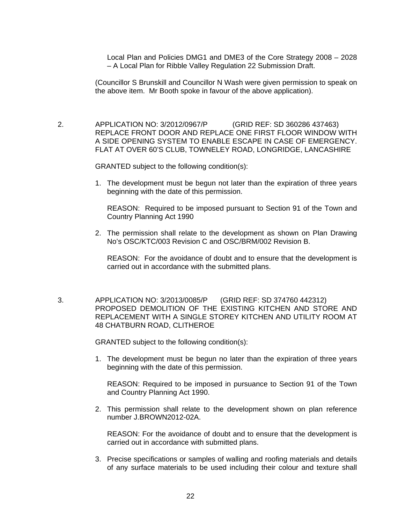Local Plan and Policies DMG1 and DME3 of the Core Strategy 2008 – 2028 – A Local Plan for Ribble Valley Regulation 22 Submission Draft.

(Councillor S Brunskill and Councillor N Wash were given permission to speak on the above item. Mr Booth spoke in favour of the above application).

 2. APPLICATION NO: 3/2012/0967/P (GRID REF: SD 360286 437463) REPLACE FRONT DOOR AND REPLACE ONE FIRST FLOOR WINDOW WITH A SIDE OPENING SYSTEM TO ENABLE ESCAPE IN CASE OF EMERGENCY. FLAT AT OVER 60'S CLUB, TOWNELEY ROAD, LONGRIDGE, LANCASHIRE

GRANTED subject to the following condition(s):

1. The development must be begun not later than the expiration of three years beginning with the date of this permission.

 REASON: Required to be imposed pursuant to Section 91 of the Town and Country Planning Act 1990

2. The permission shall relate to the development as shown on Plan Drawing No's OSC/KTC/003 Revision C and OSC/BRM/002 Revision B.

 REASON: For the avoidance of doubt and to ensure that the development is carried out in accordance with the submitted plans.

 3. APPLICATION NO: 3/2013/0085/P (GRID REF: SD 374760 442312) PROPOSED DEMOLITION OF THE EXISTING KITCHEN AND STORE AND REPLACEMENT WITH A SINGLE STOREY KITCHEN AND UTILITY ROOM AT 48 CHATBURN ROAD, CLITHEROE

GRANTED subject to the following condition(s):

1. The development must be begun no later than the expiration of three years beginning with the date of this permission.

 REASON: Required to be imposed in pursuance to Section 91 of the Town and Country Planning Act 1990.

2. This permission shall relate to the development shown on plan reference number J.BROWN2012-02A.

 REASON: For the avoidance of doubt and to ensure that the development is carried out in accordance with submitted plans.

3. Precise specifications or samples of walling and roofing materials and details of any surface materials to be used including their colour and texture shall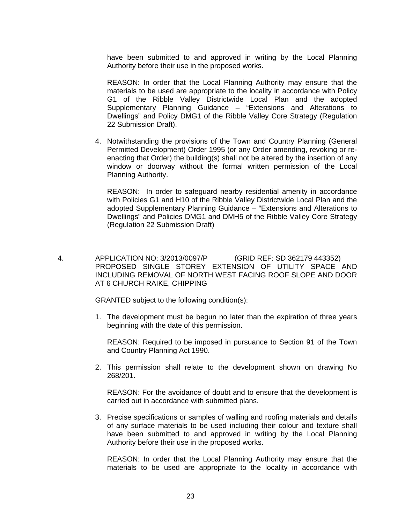have been submitted to and approved in writing by the Local Planning Authority before their use in the proposed works.

 REASON: In order that the Local Planning Authority may ensure that the materials to be used are appropriate to the locality in accordance with Policy G1 of the Ribble Valley Districtwide Local Plan and the adopted Supplementary Planning Guidance – "Extensions and Alterations to Dwellings" and Policy DMG1 of the Ribble Valley Core Strategy (Regulation 22 Submission Draft).

4. Notwithstanding the provisions of the Town and Country Planning (General Permitted Development) Order 1995 (or any Order amending, revoking or reenacting that Order) the building(s) shall not be altered by the insertion of any window or doorway without the formal written permission of the Local Planning Authority.

 REASON: In order to safeguard nearby residential amenity in accordance with Policies G1 and H10 of the Ribble Valley Districtwide Local Plan and the adopted Supplementary Planning Guidance – "Extensions and Alterations to Dwellings" and Policies DMG1 and DMH5 of the Ribble Valley Core Strategy (Regulation 22 Submission Draft)

 4. APPLICATION NO: 3/2013/0097/P (GRID REF: SD 362179 443352) PROPOSED SINGLE STOREY EXTENSION OF UTILITY SPACE AND INCLUDING REMOVAL OF NORTH WEST FACING ROOF SLOPE AND DOOR AT 6 CHURCH RAIKE, CHIPPING

GRANTED subject to the following condition(s):

1. The development must be begun no later than the expiration of three years beginning with the date of this permission.

 REASON: Required to be imposed in pursuance to Section 91 of the Town and Country Planning Act 1990.

2. This permission shall relate to the development shown on drawing No 268/201.

 REASON: For the avoidance of doubt and to ensure that the development is carried out in accordance with submitted plans.

3. Precise specifications or samples of walling and roofing materials and details of any surface materials to be used including their colour and texture shall have been submitted to and approved in writing by the Local Planning Authority before their use in the proposed works.

 REASON: In order that the Local Planning Authority may ensure that the materials to be used are appropriate to the locality in accordance with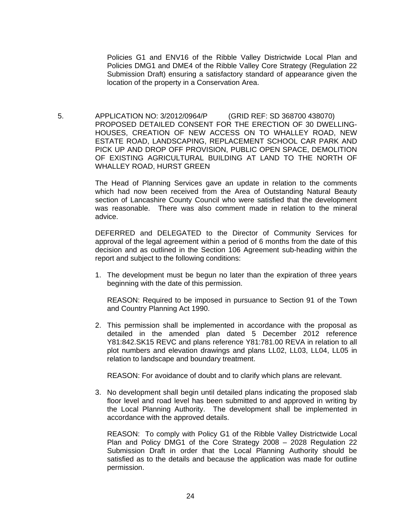Policies G1 and ENV16 of the Ribble Valley Districtwide Local Plan and Policies DMG1 and DME4 of the Ribble Valley Core Strategy (Regulation 22 Submission Draft) ensuring a satisfactory standard of appearance given the location of the property in a Conservation Area.

 5. APPLICATION NO: 3/2012/0964/P (GRID REF: SD 368700 438070) PROPOSED DETAILED CONSENT FOR THE ERECTION OF 30 DWELLING-HOUSES, CREATION OF NEW ACCESS ON TO WHALLEY ROAD, NEW ESTATE ROAD, LANDSCAPING, REPLACEMENT SCHOOL CAR PARK AND PICK UP AND DROP OFF PROVISION, PUBLIC OPEN SPACE, DEMOLITION OF EXISTING AGRICULTURAL BUILDING AT LAND TO THE NORTH OF WHALLEY ROAD, HURST GREEN

> The Head of Planning Services gave an update in relation to the comments which had now been received from the Area of Outstanding Natural Beauty section of Lancashire County Council who were satisfied that the development was reasonable. There was also comment made in relation to the mineral advice.

> DEFERRED and DELEGATED to the Director of Community Services for approval of the legal agreement within a period of 6 months from the date of this decision and as outlined in the Section 106 Agreement sub-heading within the report and subject to the following conditions:

> 1. The development must be begun no later than the expiration of three years beginning with the date of this permission.

 REASON: Required to be imposed in pursuance to Section 91 of the Town and Country Planning Act 1990.

2. This permission shall be implemented in accordance with the proposal as detailed in the amended plan dated 5 December 2012 reference Y81:842.SK15 REVC and plans reference Y81:781.00 REVA in relation to all plot numbers and elevation drawings and plans LL02, LL03, LL04, LL05 in relation to landscape and boundary treatment.

REASON: For avoidance of doubt and to clarify which plans are relevant.

3. No development shall begin until detailed plans indicating the proposed slab floor level and road level has been submitted to and approved in writing by the Local Planning Authority. The development shall be implemented in accordance with the approved details.

REASON: To comply with Policy G1 of the Ribble Valley Districtwide Local Plan and Policy DMG1 of the Core Strategy 2008 – 2028 Regulation 22 Submission Draft in order that the Local Planning Authority should be satisfied as to the details and because the application was made for outline permission.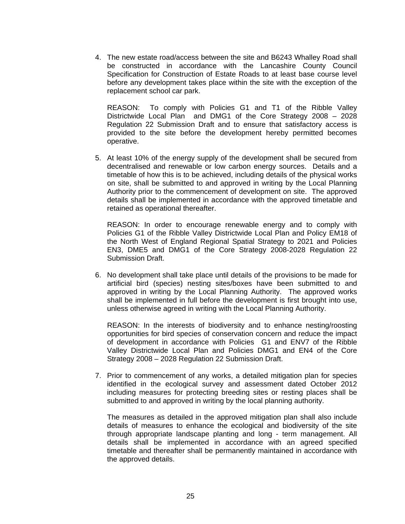4. The new estate road/access between the site and B6243 Whalley Road shall be constructed in accordance with the Lancashire County Council Specification for Construction of Estate Roads to at least base course level before any development takes place within the site with the exception of the replacement school car park.

 REASON: To comply with Policies G1 and T1 of the Ribble Valley Districtwide Local Plan and DMG1 of the Core Strategy 2008 – 2028 Regulation 22 Submission Draft and to ensure that satisfactory access is provided to the site before the development hereby permitted becomes operative.

5. At least 10% of the energy supply of the development shall be secured from decentralised and renewable or low carbon energy sources. Details and a timetable of how this is to be achieved, including details of the physical works on site, shall be submitted to and approved in writing by the Local Planning Authority prior to the commencement of development on site. The approved details shall be implemented in accordance with the approved timetable and retained as operational thereafter.

 REASON: In order to encourage renewable energy and to comply with Policies G1 of the Ribble Valley Districtwide Local Plan and Policy EM18 of the North West of England Regional Spatial Strategy to 2021 and Policies EN3, DME5 and DMG1 of the Core Strategy 2008-2028 Regulation 22 Submission Draft.

6. No development shall take place until details of the provisions to be made for artificial bird (species) nesting sites/boxes have been submitted to and approved in writing by the Local Planning Authority. The approved works shall be implemented in full before the development is first brought into use, unless otherwise agreed in writing with the Local Planning Authority.

 REASON: In the interests of biodiversity and to enhance nesting/roosting opportunities for bird species of conservation concern and reduce the impact of development in accordance with Policies G1 and ENV7 of the Ribble Valley Districtwide Local Plan and Policies DMG1 and EN4 of the Core Strategy 2008 – 2028 Regulation 22 Submission Draft.

7. Prior to commencement of any works, a detailed mitigation plan for species identified in the ecological survey and assessment dated October 2012 including measures for protecting breeding sites or resting places shall be submitted to and approved in writing by the local planning authority.

 The measures as detailed in the approved mitigation plan shall also include details of measures to enhance the ecological and biodiversity of the site through appropriate landscape planting and long - term management. All details shall be implemented in accordance with an agreed specified timetable and thereafter shall be permanently maintained in accordance with the approved details.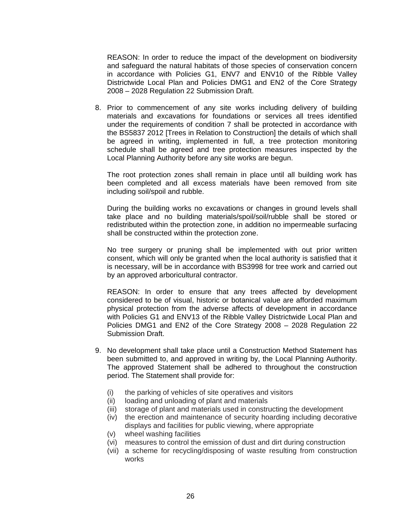REASON: In order to reduce the impact of the development on biodiversity and safeguard the natural habitats of those species of conservation concern in accordance with Policies G1, ENV7 and ENV10 of the Ribble Valley Districtwide Local Plan and Policies DMG1 and EN2 of the Core Strategy 2008 – 2028 Regulation 22 Submission Draft.

8. Prior to commencement of any site works including delivery of building materials and excavations for foundations or services all trees identified under the requirements of condition 7 shall be protected in accordance with the BS5837 2012 [Trees in Relation to Construction] the details of which shall be agreed in writing, implemented in full, a tree protection monitoring schedule shall be agreed and tree protection measures inspected by the Local Planning Authority before any site works are begun.

 The root protection zones shall remain in place until all building work has been completed and all excess materials have been removed from site including soil/spoil and rubble.

 During the building works no excavations or changes in ground levels shall take place and no building materials/spoil/soil/rubble shall be stored or redistributed within the protection zone, in addition no impermeable surfacing shall be constructed within the protection zone.

 No tree surgery or pruning shall be implemented with out prior written consent, which will only be granted when the local authority is satisfied that it is necessary, will be in accordance with BS3998 for tree work and carried out by an approved arboricultural contractor.

 REASON: In order to ensure that any trees affected by development considered to be of visual, historic or botanical value are afforded maximum physical protection from the adverse affects of development in accordance with Policies G1 and ENV13 of the Ribble Valley Districtwide Local Plan and Policies DMG1 and EN2 of the Core Strategy 2008 – 2028 Regulation 22 Submission Draft.

- 9. No development shall take place until a Construction Method Statement has been submitted to, and approved in writing by, the Local Planning Authority. The approved Statement shall be adhered to throughout the construction period. The Statement shall provide for:
	- (i) the parking of vehicles of site operatives and visitors
	- (ii) loading and unloading of plant and materials
	- (iii) storage of plant and materials used in constructing the development
	- (iv) the erection and maintenance of security hoarding including decorative displays and facilities for public viewing, where appropriate
	- (v) wheel washing facilities
	- (vi) measures to control the emission of dust and dirt during construction
	- (vii) a scheme for recycling/disposing of waste resulting from construction works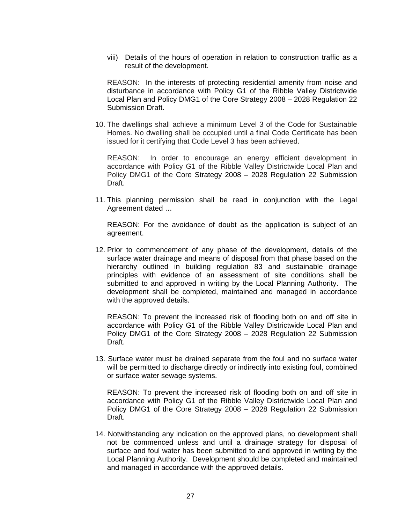viii) Details of the hours of operation in relation to construction traffic as a result of the development.

 REASON: In the interests of protecting residential amenity from noise and disturbance in accordance with Policy G1 of the Ribble Valley Districtwide Local Plan and Policy DMG1 of the Core Strategy 2008 – 2028 Regulation 22 Submission Draft.

10. The dwellings shall achieve a minimum Level 3 of the Code for Sustainable Homes. No dwelling shall be occupied until a final Code Certificate has been issued for it certifying that Code Level 3 has been achieved.

 REASON: In order to encourage an energy efficient development in accordance with Policy G1 of the Ribble Valley Districtwide Local Plan and Policy DMG1 of the Core Strategy 2008 – 2028 Regulation 22 Submission Draft.

11. This planning permission shall be read in conjunction with the Legal Agreement dated …

 REASON: For the avoidance of doubt as the application is subject of an agreement.

12. Prior to commencement of any phase of the development, details of the surface water drainage and means of disposal from that phase based on the hierarchy outlined in building regulation 83 and sustainable drainage principles with evidence of an assessment of site conditions shall be submitted to and approved in writing by the Local Planning Authority. The development shall be completed, maintained and managed in accordance with the approved details.

 REASON: To prevent the increased risk of flooding both on and off site in accordance with Policy G1 of the Ribble Valley Districtwide Local Plan and Policy DMG1 of the Core Strategy 2008 – 2028 Regulation 22 Submission Draft.

13. Surface water must be drained separate from the foul and no surface water will be permitted to discharge directly or indirectly into existing foul, combined or surface water sewage systems.

 REASON: To prevent the increased risk of flooding both on and off site in accordance with Policy G1 of the Ribble Valley Districtwide Local Plan and Policy DMG1 of the Core Strategy 2008 – 2028 Regulation 22 Submission Draft.

14. Notwithstanding any indication on the approved plans, no development shall not be commenced unless and until a drainage strategy for disposal of surface and foul water has been submitted to and approved in writing by the Local Planning Authority. Development should be completed and maintained and managed in accordance with the approved details.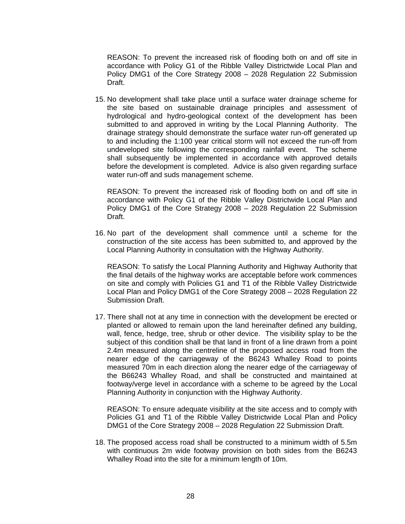REASON: To prevent the increased risk of flooding both on and off site in accordance with Policy G1 of the Ribble Valley Districtwide Local Plan and Policy DMG1 of the Core Strategy 2008 – 2028 Regulation 22 Submission Draft.

15. No development shall take place until a surface water drainage scheme for the site based on sustainable drainage principles and assessment of hydrological and hydro-geological context of the development has been submitted to and approved in writing by the Local Planning Authority. The drainage strategy should demonstrate the surface water run-off generated up to and including the 1:100 year critical storm will not exceed the run-off from undeveloped site following the corresponding rainfall event. The scheme shall subsequently be implemented in accordance with approved details before the development is completed. Advice is also given regarding surface water run-off and suds management scheme.

 REASON: To prevent the increased risk of flooding both on and off site in accordance with Policy G1 of the Ribble Valley Districtwide Local Plan and Policy DMG1 of the Core Strategy 2008 – 2028 Regulation 22 Submission Draft.

16. No part of the development shall commence until a scheme for the construction of the site access has been submitted to, and approved by the Local Planning Authority in consultation with the Highway Authority.

 REASON: To satisfy the Local Planning Authority and Highway Authority that the final details of the highway works are acceptable before work commences on site and comply with Policies G1 and T1 of the Ribble Valley Districtwide Local Plan and Policy DMG1 of the Core Strategy 2008 – 2028 Regulation 22 Submission Draft.

17. There shall not at any time in connection with the development be erected or planted or allowed to remain upon the land hereinafter defined any building, wall, fence, hedge, tree, shrub or other device. The visibility splay to be the subject of this condition shall be that land in front of a line drawn from a point 2.4m measured along the centreline of the proposed access road from the nearer edge of the carriageway of the B6243 Whalley Road to points measured 70m in each direction along the nearer edge of the carriageway of the B66243 Whalley Road, and shall be constructed and maintained at footway/verge level in accordance with a scheme to be agreed by the Local Planning Authority in conjunction with the Highway Authority.

 REASON: To ensure adequate visibility at the site access and to comply with Policies G1 and T1 of the Ribble Valley Districtwide Local Plan and Policy DMG1 of the Core Strategy 2008 – 2028 Regulation 22 Submission Draft.

18. The proposed access road shall be constructed to a minimum width of 5.5m with continuous 2m wide footway provision on both sides from the B6243 Whalley Road into the site for a minimum length of 10m.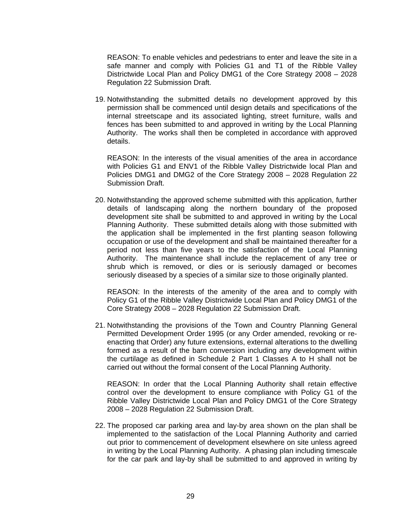REASON: To enable vehicles and pedestrians to enter and leave the site in a safe manner and comply with Policies G1 and T1 of the Ribble Valley Districtwide Local Plan and Policy DMG1 of the Core Strategy 2008 – 2028 Regulation 22 Submission Draft.

19. Notwithstanding the submitted details no development approved by this permission shall be commenced until design details and specifications of the internal streetscape and its associated lighting, street furniture, walls and fences has been submitted to and approved in writing by the Local Planning Authority. The works shall then be completed in accordance with approved details.

 REASON: In the interests of the visual amenities of the area in accordance with Policies G1 and ENV1 of the Ribble Valley Districtwide local Plan and Policies DMG1 and DMG2 of the Core Strategy 2008 – 2028 Regulation 22 Submission Draft.

20. Notwithstanding the approved scheme submitted with this application, further details of landscaping along the northern boundary of the proposed development site shall be submitted to and approved in writing by the Local Planning Authority. These submitted details along with those submitted with the application shall be implemented in the first planting season following occupation or use of the development and shall be maintained thereafter for a period not less than five years to the satisfaction of the Local Planning Authority. The maintenance shall include the replacement of any tree or shrub which is removed, or dies or is seriously damaged or becomes seriously diseased by a species of a similar size to those originally planted.

 REASON: In the interests of the amenity of the area and to comply with Policy G1 of the Ribble Valley Districtwide Local Plan and Policy DMG1 of the Core Strategy 2008 – 2028 Regulation 22 Submission Draft.

21. Notwithstanding the provisions of the Town and Country Planning General Permitted Development Order 1995 (or any Order amended, revoking or reenacting that Order) any future extensions, external alterations to the dwelling formed as a result of the barn conversion including any development within the curtilage as defined in Schedule 2 Part 1 Classes A to H shall not be carried out without the formal consent of the Local Planning Authority.

 REASON: In order that the Local Planning Authority shall retain effective control over the development to ensure compliance with Policy G1 of the Ribble Valley Districtwide Local Plan and Policy DMG1 of the Core Strategy 2008 – 2028 Regulation 22 Submission Draft.

22. The proposed car parking area and lay-by area shown on the plan shall be implemented to the satisfaction of the Local Planning Authority and carried out prior to commencement of development elsewhere on site unless agreed in writing by the Local Planning Authority. A phasing plan including timescale for the car park and lay-by shall be submitted to and approved in writing by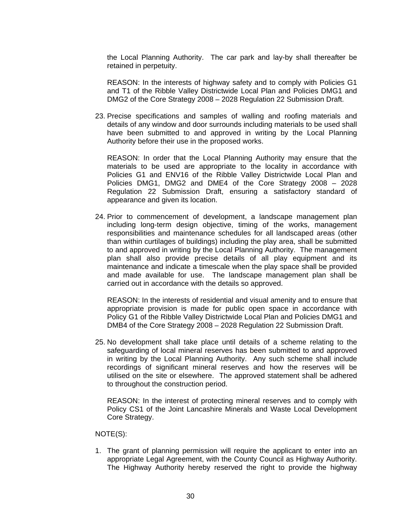the Local Planning Authority. The car park and lay-by shall thereafter be retained in perpetuity.

 REASON: In the interests of highway safety and to comply with Policies G1 and T1 of the Ribble Valley Districtwide Local Plan and Policies DMG1 and DMG2 of the Core Strategy 2008 – 2028 Regulation 22 Submission Draft.

23. Precise specifications and samples of walling and roofing materials and details of any window and door surrounds including materials to be used shall have been submitted to and approved in writing by the Local Planning Authority before their use in the proposed works.

 REASON: In order that the Local Planning Authority may ensure that the materials to be used are appropriate to the locality in accordance with Policies G1 and ENV16 of the Ribble Valley Districtwide Local Plan and Policies DMG1, DMG2 and DME4 of the Core Strategy 2008 – 2028 Regulation 22 Submission Draft, ensuring a satisfactory standard of appearance and given its location.

24. Prior to commencement of development, a landscape management plan including long-term design objective, timing of the works, management responsibilities and maintenance schedules for all landscaped areas (other than within curtilages of buildings) including the play area, shall be submitted to and approved in writing by the Local Planning Authority. The management plan shall also provide precise details of all play equipment and its maintenance and indicate a timescale when the play space shall be provided and made available for use. The landscape management plan shall be carried out in accordance with the details so approved.

 REASON: In the interests of residential and visual amenity and to ensure that appropriate provision is made for public open space in accordance with Policy G1 of the Ribble Valley Districtwide Local Plan and Policies DMG1 and DMB4 of the Core Strategy 2008 – 2028 Regulation 22 Submission Draft.

25. No development shall take place until details of a scheme relating to the safeguarding of local mineral reserves has been submitted to and approved in writing by the Local Planning Authority. Any such scheme shall include recordings of significant mineral reserves and how the reserves will be utilised on the site or elsewhere. The approved statement shall be adhered to throughout the construction period.

 REASON: In the interest of protecting mineral reserves and to comply with Policy CS1 of the Joint Lancashire Minerals and Waste Local Development Core Strategy.

### NOTE(S):

1. The grant of planning permission will require the applicant to enter into an appropriate Legal Agreement, with the County Council as Highway Authority. The Highway Authority hereby reserved the right to provide the highway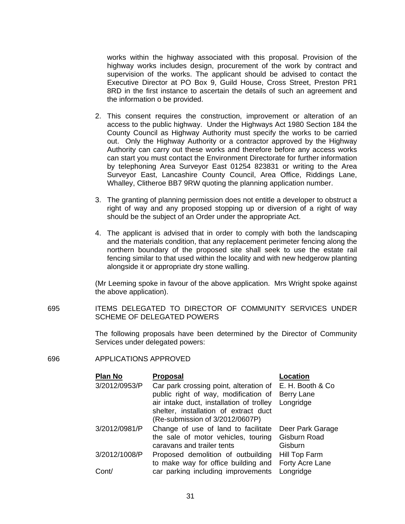works within the highway associated with this proposal. Provision of the highway works includes design, procurement of the work by contract and supervision of the works. The applicant should be advised to contact the Executive Director at PO Box 9, Guild House, Cross Street, Preston PR1 8RD in the first instance to ascertain the details of such an agreement and the information o be provided.

- 2. This consent requires the construction, improvement or alteration of an access to the public highway. Under the Highways Act 1980 Section 184 the County Council as Highway Authority must specify the works to be carried out. Only the Highway Authority or a contractor approved by the Highway Authority can carry out these works and therefore before any access works can start you must contact the Environment Directorate for further information by telephoning Area Surveyor East 01254 823831 or writing to the Area Surveyor East, Lancashire County Council, Area Office, Riddings Lane, Whalley, Clitheroe BB7 9RW quoting the planning application number.
- 3. The granting of planning permission does not entitle a developer to obstruct a right of way and any proposed stopping up or diversion of a right of way should be the subject of an Order under the appropriate Act.
- 4. The applicant is advised that in order to comply with both the landscaping and the materials condition, that any replacement perimeter fencing along the northern boundary of the proposed site shall seek to use the estate rail fencing similar to that used within the locality and with new hedgerow planting alongside it or appropriate dry stone walling.

(Mr Leeming spoke in favour of the above application. Mrs Wright spoke against the above application).

695 ITEMS DELEGATED TO DIRECTOR OF COMMUNITY SERVICES UNDER SCHEME OF DELEGATED POWERS

> The following proposals have been determined by the Director of Community Services under delegated powers:

#### 696 APPLICATIONS APPROVED

| <b>Plan No</b> | <b>Proposal</b>                                                          | Location          |
|----------------|--------------------------------------------------------------------------|-------------------|
| 3/2012/0953/P  | Car park crossing point, alteration of                                   | E. H. Booth & Co. |
|                | public right of way, modification of                                     | <b>Berry Lane</b> |
|                | air intake duct, installation of trolley                                 | Longridge         |
|                | shelter, installation of extract duct<br>(Re-submission of 3/2012/0607P) |                   |
| 3/2012/0981/P  | Change of use of land to facilitate                                      | Deer Park Garage  |
|                | the sale of motor vehicles, touring                                      | Gisburn Road      |
|                | caravans and trailer tents                                               | Gisburn           |
| 3/2012/1008/P  | Proposed demolition of outbuilding                                       | Hill Top Farm     |
|                | to make way for office building and                                      | Forty Acre Lane   |
| Cont/          | car parking including improvements                                       | Longridge         |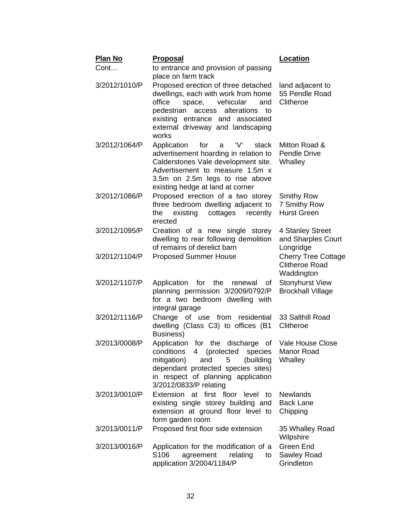| <u>Plan No</u> | <b>Proposal</b>                                                                                                                                                                                                                                | <b>Location</b>                                                   |  |
|----------------|------------------------------------------------------------------------------------------------------------------------------------------------------------------------------------------------------------------------------------------------|-------------------------------------------------------------------|--|
| Cont           | to entrance and provision of passing<br>place on farm track                                                                                                                                                                                    |                                                                   |  |
| 3/2012/1010/P  | Proposed erection of three detached<br>dwellings, each with work from home<br>office<br>space, vehicular<br>and<br>pedestrian<br>alterations<br>access<br>to<br>existing entrance and associated<br>external driveway and landscaping<br>works | land adjacent to<br>55 Pendle Road<br>Clitheroe                   |  |
| 3/2012/1064/P  | for<br>'V'<br>Application<br>a<br>stack<br>advertisement hoarding in relation to<br>Calderstones Vale development site.<br>Advertisement to measure 1.5m x<br>3.5m on 2.5m legs to rise above<br>existing hedge at land at corner              | Mitton Road &<br><b>Pendle Drive</b><br>Whalley                   |  |
| 3/2012/1086/P  | Proposed erection of a two storey<br>three bedroom dwelling adjacent to<br>existing<br>cottages<br>recently<br>the<br>erected                                                                                                                  | <b>Smithy Row</b><br>7 Smithy Row<br><b>Hurst Green</b>           |  |
| 3/2012/1095/P  | Creation of a new single<br>storey<br>dwelling to rear following demolition<br>of remains of derelict barn                                                                                                                                     | 4 Stanley Street<br>and Sharples Court<br>Longridge               |  |
| 3/2012/1104/P  | <b>Proposed Summer House</b>                                                                                                                                                                                                                   | <b>Cherry Tree Cottage</b><br><b>Clitheroe Road</b><br>Waddington |  |
| 3/2012/1107/P  | Application<br>for the<br>renewal<br>οf<br>planning permission 3/2009/0792/P<br>for a two bedroom dwelling with<br>integral garage                                                                                                             | <b>Stonyhurst View</b><br><b>Brockhall Village</b>                |  |
| 3/2012/1116/P  | Change of use from<br>residential<br>dwelling (Class C3) to offices (B1<br>Business)                                                                                                                                                           | 33 Salthill Road<br>Clitheroe                                     |  |
| 3/2013/0008/P  | Application for the discharge of<br>conditions 4 (protected species<br>mitigation)<br>5<br>and<br>(building<br>dependant protected species sites)<br>in respect of planning application<br>3/2012/0833/P relating                              | Vale House Close<br>Manor Road<br>Whalley                         |  |
| 3/2013/0010/P  | Extension at first floor<br>level<br>to<br>existing single storey building and<br>extension at ground floor level to<br>form garden room                                                                                                       | <b>Newlands</b><br><b>Back Lane</b><br>Chipping                   |  |
| 3/2013/0011/P  | Proposed first floor side extension                                                                                                                                                                                                            | 35 Whalley Road<br>Wilpshire                                      |  |
| 3/2013/0016/P  | Application for the modification of a<br>S <sub>106</sub><br>agreement<br>relating<br>to<br>application 3/2004/1184/P                                                                                                                          | Green End<br>Sawley Road<br>Grindleton                            |  |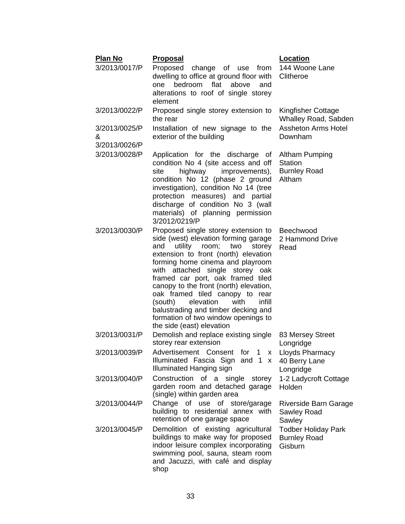| <b>Plan No</b>                      | <u>Proposal</u>                                                                                                                                                                                                                                                                                                                                                                                                                                                                                               | <u>Location</u>                                                          |
|-------------------------------------|---------------------------------------------------------------------------------------------------------------------------------------------------------------------------------------------------------------------------------------------------------------------------------------------------------------------------------------------------------------------------------------------------------------------------------------------------------------------------------------------------------------|--------------------------------------------------------------------------|
| 3/2013/0017/P                       | Proposed change of use<br>dwelling to office at ground floor with<br>bedroom flat<br>above<br>and<br>one<br>alterations to roof of single storey<br>element                                                                                                                                                                                                                                                                                                                                                   | from 144 Woone Lane<br>Clitheroe                                         |
| 3/2013/0022/P                       | Proposed single storey extension to<br>the rear                                                                                                                                                                                                                                                                                                                                                                                                                                                               | Kingfisher Cottage<br>Whalley Road, Sabden                               |
| 3/2013/0025/P<br>&<br>3/2013/0026/P | Installation of new signage to the<br>exterior of the building                                                                                                                                                                                                                                                                                                                                                                                                                                                | <b>Assheton Arms Hotel</b><br>Downham                                    |
| 3/2013/0028/P                       | Application for the discharge of<br>condition No 4 (site access and off<br>highway<br>improvements),<br>site<br>condition No 12 (phase 2 ground<br>investigation), condition No 14 (tree<br>protection measures) and partial<br>discharge of condition No 3 (wall<br>materials) of planning permission<br>3/2012/0219/P                                                                                                                                                                                       | <b>Altham Pumping</b><br><b>Station</b><br><b>Burnley Road</b><br>Altham |
| 3/2013/0030/P                       | Proposed single storey extension to<br>side (west) elevation forming garage<br>utility<br>room;<br>and<br>two<br>storey<br>extension to front (north) elevation<br>forming home cinema and playroom<br>with attached single storey oak<br>framed car port, oak framed tiled<br>canopy to the front (north) elevation,<br>oak framed tiled canopy to rear<br>elevation<br>infill<br>(south)<br>with<br>balustrading and timber decking and<br>formation of two window openings to<br>the side (east) elevation | Beechwood<br>2 Hammond Drive<br>Read                                     |
| 3/2013/0031/P                       | Demolish and replace existing single<br>storey rear extension                                                                                                                                                                                                                                                                                                                                                                                                                                                 | 83 Mersey Street<br>Longridge                                            |
| 3/2013/0039/P                       | Advertisement Consent for 1 x Lloyds Pharmacy<br>Illuminated Fascia Sign and 1 x<br>Illuminated Hanging sign                                                                                                                                                                                                                                                                                                                                                                                                  | 40 Berry Lane<br>Longridge                                               |
| 3/2013/0040/P                       | Construction of a single storey<br>garden room and detached garage<br>(single) within garden area                                                                                                                                                                                                                                                                                                                                                                                                             | 1-2 Ladycroft Cottage<br>Holden                                          |
| 3/2013/0044/P                       | Change of use of store/garage<br>building to residential annex with<br>retention of one garage space                                                                                                                                                                                                                                                                                                                                                                                                          | Riverside Barn Garage<br>Sawley Road<br>Sawley                           |
| 3/2013/0045/P                       | Demolition of existing agricultural<br>buildings to make way for proposed<br>indoor leisure complex incorporating<br>swimming pool, sauna, steam room<br>and Jacuzzi, with café and display<br>shop                                                                                                                                                                                                                                                                                                           | <b>Todber Holiday Park</b><br><b>Burnley Road</b><br>Gisburn             |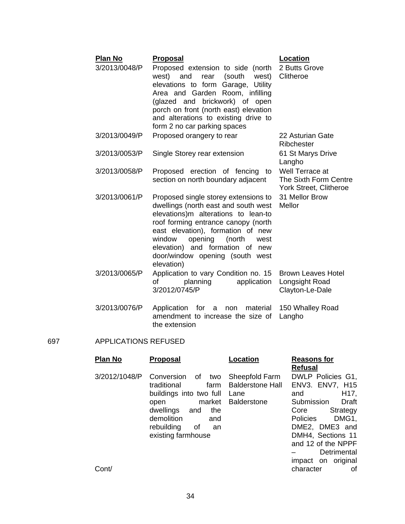| <b>Plan No</b><br>3/2013/0048/P | <b>Proposal</b><br>Proposed extension to side (north<br>west) and rear (south<br>west)<br>elevations to form Garage,<br>Utility<br>Area and Garden Room, infilling<br>(glazed and brickwork) of open<br>porch on front (north east) elevation<br>and alterations to existing drive to<br>form 2 no car parking spaces      | Location<br>2 Butts Grove<br>Clitheroe                                    |
|---------------------------------|----------------------------------------------------------------------------------------------------------------------------------------------------------------------------------------------------------------------------------------------------------------------------------------------------------------------------|---------------------------------------------------------------------------|
| 3/2013/0049/P                   | Proposed orangery to rear                                                                                                                                                                                                                                                                                                  | 22 Asturian Gate<br>Ribchester                                            |
| 3/2013/0053/P                   | Single Storey rear extension                                                                                                                                                                                                                                                                                               | 61 St Marys Drive<br>Langho                                               |
| 3/2013/0058/P                   | Proposed erection of fencing<br>to<br>section on north boundary adjacent                                                                                                                                                                                                                                                   | Well Terrace at<br>The Sixth Form Centre<br><b>York Street, Clitheroe</b> |
| 3/2013/0061/P                   | Proposed single storey extensions to<br>dwellings (north east and south west<br>elevations)m alterations to lean-to<br>roof forming entrance canopy (north<br>east elevation), formation of new<br>opening<br>window<br>(north<br>west<br>elevation) and formation of new<br>door/window opening (south west<br>elevation) | 31 Mellor Brow<br>Mellor                                                  |
| 3/2013/0065/P                   | Application to vary Condition no. 15<br>planning<br>application<br>οf<br>3/2012/0745/P                                                                                                                                                                                                                                     | Brown Leaves Hotel<br>Longsight Road<br>Clayton-Le-Dale                   |

3/2013/0076/P Application for a non material amendment to increase the size of the extension 150 Whalley Road Langho

## 697 APPLICATIONS REFUSED

| Plan No                | <b>Proposal</b>                                                                                                                                                                               | Location                                                                | <b>Reasons for</b>                                                                                                                                                                                                                                    |
|------------------------|-----------------------------------------------------------------------------------------------------------------------------------------------------------------------------------------------|-------------------------------------------------------------------------|-------------------------------------------------------------------------------------------------------------------------------------------------------------------------------------------------------------------------------------------------------|
|                        |                                                                                                                                                                                               |                                                                         | <b>Refusal</b>                                                                                                                                                                                                                                        |
| 3/2012/1048/P<br>Cont/ | Conversion<br>of .<br>two<br>farm<br>traditional<br>buildings into two full<br>market<br>open<br>dwellings<br>the<br>and<br>demolition<br>and<br>rebuilding<br>οf<br>an<br>existing farmhouse | Sheepfold Farm<br><b>Balderstone Hall</b><br>Lane<br><b>Balderstone</b> | DWLP Policies G1,<br>ENV3. ENV7, H15<br>H <sub>17</sub> ,<br>and<br>Submission<br>Draft<br>Strategy<br>Core<br>DMG1,<br>Policies<br>DME2, DME3 and<br>DMH4, Sections 11<br>and 12 of the NPPF<br>Detrimental<br>impact on original<br>character<br>οf |
|                        |                                                                                                                                                                                               |                                                                         |                                                                                                                                                                                                                                                       |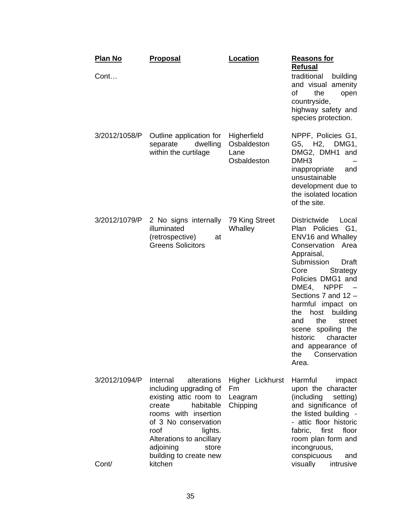| <b>Plan No</b><br>Cont | <b>Proposal</b>                                                                                                                                                                                                                                              | Location                                          | <b>Reasons for</b><br><b>Refusal</b><br>traditional<br>building<br>and visual amenity<br>οf<br>the<br>open<br>countryside,<br>highway safety and<br>species protection.                                                                                                                                                                                                                                           |
|------------------------|--------------------------------------------------------------------------------------------------------------------------------------------------------------------------------------------------------------------------------------------------------------|---------------------------------------------------|-------------------------------------------------------------------------------------------------------------------------------------------------------------------------------------------------------------------------------------------------------------------------------------------------------------------------------------------------------------------------------------------------------------------|
| 3/2012/1058/P          | Outline application for<br>separate<br>dwelling<br>within the curtilage                                                                                                                                                                                      | Higherfield<br>Osbaldeston<br>Lane<br>Osbaldeston | NPPF, Policies G1,<br>G5, H2, DMG1,<br>DMG2, DMH1 and<br>DMH <sub>3</sub><br>inappropriate<br>and<br>unsustainable<br>development due to<br>the isolated location<br>of the site.                                                                                                                                                                                                                                 |
| 3/2012/1079/P          | 2 No signs internally<br>illuminated<br>(retrospective)<br>at<br><b>Greens Solicitors</b>                                                                                                                                                                    | 79 King Street<br>Whalley                         | <b>Districtwide</b><br>Local<br><b>Policies</b><br>Plan<br>G1,<br>ENV16 and Whalley<br>Conservation Area<br>Appraisal,<br>Submission<br>Draft<br>Core<br>Strategy<br>Policies DMG1 and<br>DME4,<br><b>NPPF</b><br>Sections 7 and 12 -<br>harmful impact on<br>host<br>building<br>the<br>the<br>and<br>street<br>scene spoiling the<br>character<br>historic<br>and appearance of<br>Conservation<br>the<br>Area. |
| 3/2012/1094/P<br>Cont/ | Internal<br>alterations<br>including upgrading of<br>existing attic room to<br>habitable<br>create<br>rooms with insertion<br>of 3 No conservation<br>roof<br>lights.<br>Alterations to ancillary<br>adjoining<br>store<br>building to create new<br>kitchen | Higher Lickhurst<br>Fm<br>Leagram<br>Chipping     | Harmful<br>impact<br>upon the character<br>(including<br>setting)<br>and significance of<br>the listed building -<br>- attic floor historic<br>fabric,<br>first<br>floor<br>room plan form and<br>incongruous,<br>conspicuous<br>and<br>visually<br>intrusive                                                                                                                                                     |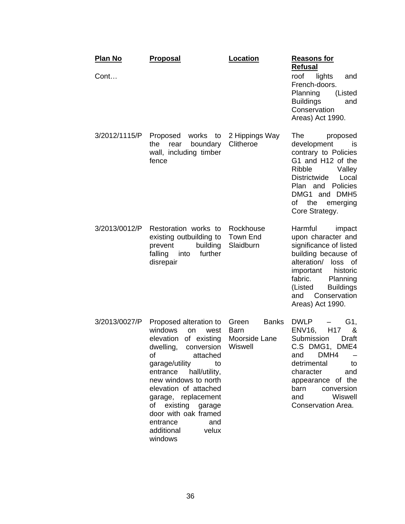| <u>Plan No</u><br>Cont | <u>Proposal</u>                                                                                                                                                                                                                                                                                                                                       | Location                                                  | <u>Reasons for</u><br><b>Refusal</b><br>roof lights<br>and                                                                                                                                                                                      |
|------------------------|-------------------------------------------------------------------------------------------------------------------------------------------------------------------------------------------------------------------------------------------------------------------------------------------------------------------------------------------------------|-----------------------------------------------------------|-------------------------------------------------------------------------------------------------------------------------------------------------------------------------------------------------------------------------------------------------|
|                        |                                                                                                                                                                                                                                                                                                                                                       |                                                           | French-doors.<br>Planning<br>(Listed<br><b>Buildings</b><br>and<br>Conservation<br>Areas) Act 1990.                                                                                                                                             |
| 3/2012/1115/P          | Proposed<br>works to<br>the<br>boundary<br>rear<br>wall, including timber<br>fence                                                                                                                                                                                                                                                                    | 2 Hippings Way<br>Clitheroe                               | The:<br>proposed<br>development<br>IS<br>contrary to Policies<br>G1 and H12 of the<br>Ribble<br>Valley<br>Districtwide<br>Local<br><b>Policies</b><br>Plan and<br>DMG1 and DMH5<br>of<br>the<br>emerging<br>Core Strategy.                      |
| 3/2013/0012/P          | Restoration works to<br>existing outbuilding to<br>building<br>prevent<br>falling<br>into<br>further<br>disrepair                                                                                                                                                                                                                                     | Rockhouse<br>Town End<br>Slaidburn                        | Harmful<br>impact<br>upon character and<br>significance of listed<br>building because of<br>alteration/<br>loss<br>0f<br>historic<br>important<br>fabric.<br>Planning<br><b>Buildings</b><br>(Listed<br>Conservation<br>and<br>Areas) Act 1990. |
| 3/2013/0027/P          | Proposed alteration to<br>windows<br>on<br>west<br>of existing<br>elevation<br>dwelling,<br>conversion<br>attached<br>οf<br>garage/utility<br>to<br>entrance hall/utility,<br>new windows to north<br>elevation of attached<br>garage, replacement<br>of existing garage<br>door with oak framed<br>entrance<br>and<br>additional<br>velux<br>windows | <b>Banks</b><br>Green<br>Barn<br>Moorside Lane<br>Wiswell | <b>DWLP</b><br>G1,<br>H <sub>17</sub><br>ENV16,<br>&<br>Submission<br>Draft<br>C.S DMG1,<br>DME4<br>DMH4<br>and<br>detrimental<br>to<br>character<br>and<br>appearance of the<br>conversion<br>barn<br>Wiswell<br>and<br>Conservation Area.     |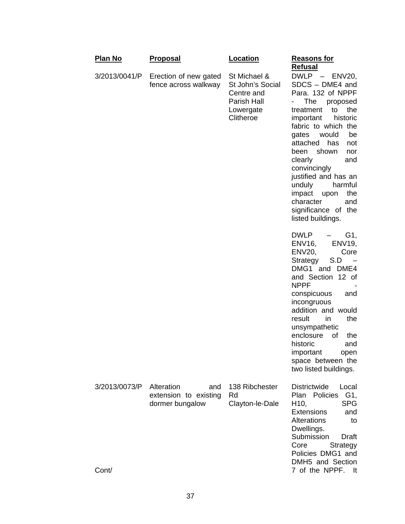| <u>Plan No</u>         | <b>Proposal</b>                                               | <b>Location</b>                                                                         | <u>Reasons for</u>                                                                                                                                                                                                                                                                                                                                                                                                                                 |
|------------------------|---------------------------------------------------------------|-----------------------------------------------------------------------------------------|----------------------------------------------------------------------------------------------------------------------------------------------------------------------------------------------------------------------------------------------------------------------------------------------------------------------------------------------------------------------------------------------------------------------------------------------------|
| 3/2013/0041/P          | Erection of new gated<br>fence across walkway                 | St Michael &<br>St John's Social<br>Centre and<br>Parish Hall<br>Lowergate<br>Clitheroe | <b>Refusal</b><br>DWLP - ENV20,<br>SDCS - DME4 and<br>Para. 132 of NPPF<br>The<br>$\overline{\phantom{0}}$<br>proposed<br>the<br>to<br>treatment<br>important<br>historic<br>fabric to which the<br>would<br>be<br>gates<br>attached<br>has<br>not<br>been<br>shown<br>nor<br>clearly<br>and<br>convincingly<br>justified and has an<br>unduly<br>harmful<br>the<br>impact<br>upon<br>character<br>and<br>significance of the<br>listed buildings. |
|                        |                                                               |                                                                                         | DWLP<br>G1,<br><b>ENV19,</b><br>ENV16,<br>ENV20,<br>Core<br>S.D<br>Strategy<br>DMG1 and DME4<br>and Section 12 of<br><b>NPPF</b><br>conspicuous<br>and<br>incongruous<br>addition and would<br>the<br>result<br>in<br>unsympathetic<br>enclosure<br>of<br>the<br>historic<br>and<br>important open<br>space between the<br>two listed buildings.                                                                                                   |
| 3/2013/0073/P<br>Cont/ | Alteration<br>and<br>extension to existing<br>dormer bungalow | 138 Ribchester<br>Rd<br>Clayton-le-Dale                                                 | <b>Districtwide</b><br>Local<br>G1,<br><b>Policies</b><br>Plan<br><b>SPG</b><br>H <sub>10</sub> ,<br><b>Extensions</b><br>and<br><b>Alterations</b><br>to<br>Dwellings.<br>Submission<br>Draft<br>Core<br>Strategy<br>Policies DMG1 and<br>DMH5 and Section<br>7 of the NPPF.<br>lt.                                                                                                                                                               |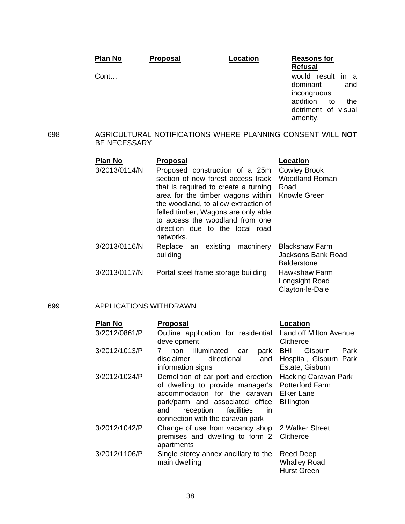|     | <b>Plan No</b>                  | <b>Proposal</b>                 | Location                                                                                                                                                                                                                                                                                               | <b>Reasons for</b>                                                                                                                    |
|-----|---------------------------------|---------------------------------|--------------------------------------------------------------------------------------------------------------------------------------------------------------------------------------------------------------------------------------------------------------------------------------------------------|---------------------------------------------------------------------------------------------------------------------------------------|
|     | Cont                            |                                 |                                                                                                                                                                                                                                                                                                        | <b>Refusal</b><br>would result<br>in a<br>dominant<br>and<br>incongruous<br>addition<br>the.<br>to<br>detriment of visual<br>amenity. |
| 698 | <b>BE NECESSARY</b>             |                                 |                                                                                                                                                                                                                                                                                                        | AGRICULTURAL NOTIFICATIONS WHERE PLANNING CONSENT WILL NOT                                                                            |
|     | <b>Plan No</b><br>3/2013/0114/N | <b>Proposal</b><br>networks.    | Proposed construction of a 25m<br>section of new forest access track<br>that is required to create a turning<br>area for the timber wagons within<br>the woodland, to allow extraction of<br>felled timber, Wagons are only able<br>to access the woodland from one<br>direction due to the local road | Location<br><b>Cowley Brook</b><br><b>Woodland Roman</b><br>Road<br><b>Knowle Green</b>                                               |
|     | 3/2013/0116/N                   | Replace an existing<br>building | machinery                                                                                                                                                                                                                                                                                              | <b>Blackshaw Farm</b><br>Jacksons Bank Road<br><b>Balderstone</b>                                                                     |
|     | 3/2013/0117/N                   |                                 | Portal steel frame storage building                                                                                                                                                                                                                                                                    | Hawkshaw Farm<br>Longsight Road<br>Clayton-le-Dale                                                                                    |

## 699 APPLICATIONS WITHDRAWN

| <b>Plan No</b> | <b>Proposal</b>                                                                                                                                                                                                                      | <b>Location</b>                                                            |
|----------------|--------------------------------------------------------------------------------------------------------------------------------------------------------------------------------------------------------------------------------------|----------------------------------------------------------------------------|
| 3/2012/0861/P  | Outline application for residential Land off Milton Avenue<br>development                                                                                                                                                            | Clitheroe                                                                  |
| 3/2012/1013/P  | illuminated<br>non<br>park<br>car<br>directional<br>and<br>disclaimer<br>information signs                                                                                                                                           | Gisburn<br>Park<br>BHI.<br>Hospital, Gisburn Park<br>Estate, Gisburn       |
| 3/2012/1024/P  | Demolition of car port and erection<br>of dwelling to provide manager's<br>accommodation for the caravan Elker Lane<br>park/parm and associated office<br>reception<br>facilities<br>and<br>- in<br>connection with the caravan park | <b>Hacking Caravan Park</b><br><b>Potterford Farm</b><br><b>Billington</b> |
| 3/2012/1042/P  | Change of use from vacancy shop 2 Walker Street<br>premises and dwelling to form 2<br>apartments                                                                                                                                     | Clitheroe                                                                  |
| 3/2012/1106/P  | Single storey annex ancillary to the<br>main dwelling                                                                                                                                                                                | Reed Deep<br><b>Whalley Road</b><br><b>Hurst Green</b>                     |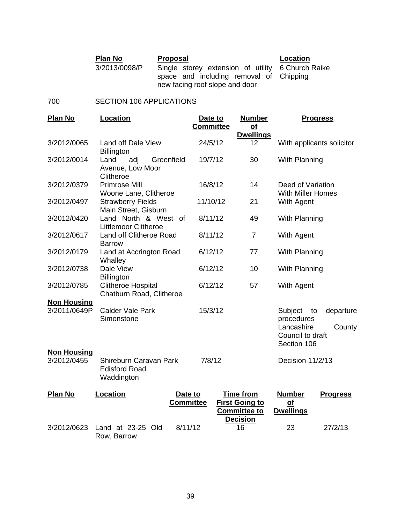| <b>Plan No</b> | Proposal                                          | Location |
|----------------|---------------------------------------------------|----------|
| 3/2013/0098/P  | Single storey extension of utility 6 Church Raike |          |
|                | space and including removal of Chipping           |          |
|                | new facing roof slope and door                    |          |

## 700 SECTION 106 APPLICATIONS

| <b>Plan No</b>                    | Location                                                     | Date to          | <b>Number</b>                                                    | <b>Progress</b>                                                              |                     |
|-----------------------------------|--------------------------------------------------------------|------------------|------------------------------------------------------------------|------------------------------------------------------------------------------|---------------------|
|                                   |                                                              | <b>Committee</b> | <u>of</u><br><b>Dwellings</b>                                    |                                                                              |                     |
| 3/2012/0065                       | Land off Dale View<br><b>Billington</b>                      | 24/5/12          | 12                                                               | With applicants solicitor                                                    |                     |
| 3/2012/0014                       | adj<br>Land<br>Greenfield<br>Avenue, Low Moor<br>Clitheroe   | 19/7/12          | 30                                                               | With Planning                                                                |                     |
| 3/2012/0379                       | <b>Primrose Mill</b><br>Woone Lane, Clitheroe                | 16/8/12          | 14                                                               | Deed of Variation<br><b>With Miller Homes</b>                                |                     |
| 3/2012/0497                       | <b>Strawberry Fields</b><br>Main Street, Gisburn             | 11/10/12         | 21                                                               | With Agent                                                                   |                     |
| 3/2012/0420                       | Land North & West of<br><b>Littlemoor Clitheroe</b>          | 8/11/12          | 49                                                               | With Planning                                                                |                     |
| 3/2012/0617                       | Land off Clitheroe Road<br><b>Barrow</b>                     | 8/11/12          | $\overline{7}$                                                   | With Agent                                                                   |                     |
| 3/2012/0179                       | Land at Accrington Road<br>Whalley                           | 6/12/12          | 77                                                               | With Planning                                                                |                     |
| 3/2012/0738                       | Dale View<br><b>Billington</b>                               | 6/12/12          | 10                                                               | With Planning                                                                |                     |
| 3/2012/0785                       | <b>Clitheroe Hospital</b><br>Chatburn Road, Clitheroe        | 6/12/12          | 57                                                               | With Agent                                                                   |                     |
| <b>Non Housing</b>                |                                                              |                  |                                                                  |                                                                              |                     |
| 3/2011/0649P                      | <b>Calder Vale Park</b><br>Simonstone                        | 15/3/12          |                                                                  | Subject<br>to<br>procedures<br>Lancashire<br>Council to draft<br>Section 106 | departure<br>County |
| <b>Non Housing</b><br>3/2012/0455 | Shireburn Caravan Park<br><b>Edisford Road</b><br>Waddington | 7/8/12           |                                                                  | Decision 11/2/13                                                             |                     |
| <b>Plan No</b>                    | Location<br>Date to<br><b>Committee</b>                      |                  | <b>Time from</b><br><b>First Going to</b><br><b>Committee to</b> | <b>Number</b><br>$\Omega$<br><b>Dwellings</b>                                | <b>Progress</b>     |
| 3/2012/0623                       | Land at 23-25 Old<br>8/11/12<br>Row, Barrow                  |                  | <b>Decision</b><br>16                                            | 23                                                                           | 27/2/13             |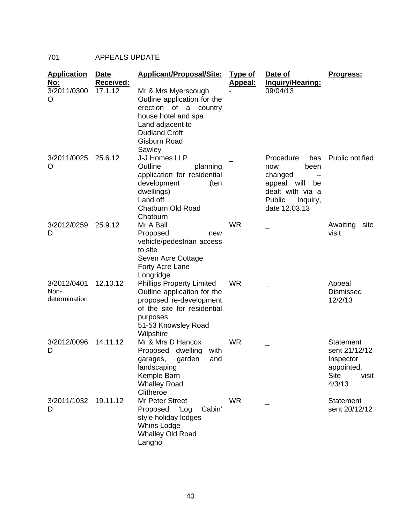# 701 APPEALS UPDATE

| <b>Application</b><br><u>No:</u>     | Date<br>Received: | <b>Applicant/Proposal/Site:</b>                                                                                                                                             | <b>Type of</b><br><u>Appeal:</u> | Date of<br><u>Inquiry/Hearing:</u>                                                                                            | Progress:                                                                               |
|--------------------------------------|-------------------|-----------------------------------------------------------------------------------------------------------------------------------------------------------------------------|----------------------------------|-------------------------------------------------------------------------------------------------------------------------------|-----------------------------------------------------------------------------------------|
| 3/2011/0300<br>O                     | 17.1.12           | Mr & Mrs Myerscough<br>Outline application for the<br>erection of a<br>country<br>house hotel and spa<br>Land adjacent to<br><b>Dudland Croft</b><br>Gisburn Road<br>Sawley |                                  | 09/04/13                                                                                                                      |                                                                                         |
| 3/2011/0025<br>O                     | 25.6.12           | J-J Homes LLP<br>Outline<br>planning<br>application for residential<br>development<br>(ten<br>dwellings)<br>Land off<br><b>Chatburn Old Road</b><br>Chatburn                |                                  | Procedure<br>has<br>been<br>now<br>changed<br>appeal<br>will<br>be<br>dealt with via a<br>Public<br>Inquiry,<br>date 12.03.13 | Public notified                                                                         |
| 3/2012/0259<br>D                     | 25.9.12           | Mr A Ball<br>Proposed<br>new<br>vehicle/pedestrian access<br>to site<br>Seven Acre Cottage<br>Forty Acre Lane<br>Longridge                                                  | <b>WR</b>                        |                                                                                                                               | Awaiting<br>site<br>visit                                                               |
| 3/2012/0401<br>Non-<br>determination | 12.10.12          | <b>Phillips Property Limited</b><br>Outline application for the<br>proposed re-development<br>of the site for residential<br>purposes<br>51-53 Knowsley Road<br>Wilpshire   | <b>WR</b>                        |                                                                                                                               | Appeal<br><b>Dismissed</b><br>12/2/13                                                   |
| 3/2012/0096<br>D                     | 14.11.12          | Mr & Mrs D Hancox<br>Proposed<br>dwelling<br>with<br>garden<br>and<br>garages,<br>landscaping<br>Kemple Barn<br><b>Whalley Road</b><br>Clitheroe                            | <b>WR</b>                        |                                                                                                                               | Statement<br>sent 21/12/12<br>Inspector<br>appointed.<br><b>Site</b><br>visit<br>4/3/13 |
| 3/2011/1032<br>D                     | 19.11.12          | Mr Peter Street<br>'Log<br>Cabin'<br>Proposed<br>style holiday lodges<br>Whins Lodge<br><b>Whalley Old Road</b><br>Langho                                                   | <b>WR</b>                        |                                                                                                                               | <b>Statement</b><br>sent 20/12/12                                                       |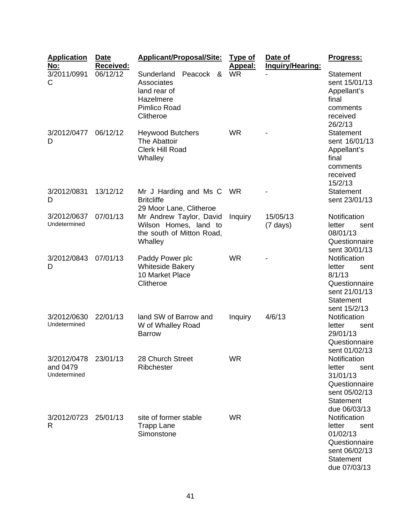| <b>Application</b><br><u>No:</u>        | <b>Date</b><br>Received: | <b>Applicant/Proposal/Site:</b>                                                                    | <u>Type of</u><br>Appeal: | Date of<br>Inquiry/Hearing:    | <u>Progress:</u>                                                                                                 |
|-----------------------------------------|--------------------------|----------------------------------------------------------------------------------------------------|---------------------------|--------------------------------|------------------------------------------------------------------------------------------------------------------|
| 3/2011/0991<br>C                        | 06/12/12                 | Sunderland<br>Peacock<br>&<br>Associates<br>land rear of<br>Hazelmere<br>Pimlico Road<br>Clitheroe | <b>WR</b>                 |                                | Statement<br>sent 15/01/13<br>Appellant's<br>final<br>comments<br>received<br>26/2/13                            |
| 3/2012/0477<br>D                        | 06/12/12                 | <b>Heywood Butchers</b><br>The Abattoir<br><b>Clerk Hill Road</b><br>Whalley                       | <b>WR</b>                 |                                | <b>Statement</b><br>sent 16/01/13<br>Appellant's<br>final<br>comments<br>received<br>15/2/13                     |
| 3/2012/0831<br>D                        | 13/12/12                 | Mr J Harding and Ms C WR<br><b>Britcliffe</b><br>29 Moor Lane, Clitheroe                           |                           |                                | <b>Statement</b><br>sent 23/01/13                                                                                |
| 3/2012/0637<br>Undetermined             | 07/01/13                 | Mr Andrew Taylor, David<br>Wilson Homes, land to<br>the south of Mitton Road,<br>Whalley           | Inquiry                   | 15/05/13<br>$(7 \text{ days})$ | Notification<br>letter<br>sent<br>08/01/13<br>Questionnaire<br>sent 30/01/13                                     |
| 3/2012/0843<br>D                        | 07/01/13                 | Paddy Power plc<br><b>Whiteside Bakery</b><br>10 Market Place<br>Clitheroe                         | <b>WR</b>                 |                                | Notification<br>letter<br>sent<br>8/1/13<br>Questionnaire<br>sent 21/01/13<br><b>Statement</b><br>sent 15/2/13   |
| 3/2012/0630<br>Undetermined             | 22/01/13                 | land SW of Barrow and<br>W of Whalley Road<br><b>Barrow</b>                                        | Inquiry                   | 4/6/13                         | Notification<br>letter<br>sent<br>29/01/13<br>Questionnaire<br>sent 01/02/13                                     |
| 3/2012/0478<br>and 0479<br>Undetermined | 23/01/13                 | 28 Church Street<br>Ribchester                                                                     | <b>WR</b>                 |                                | Notification<br>letter<br>sent<br>31/01/13<br>Questionnaire<br>sent 05/02/13<br><b>Statement</b><br>due 06/03/13 |
| 3/2012/0723<br>R                        | 25/01/13                 | site of former stable<br><b>Trapp Lane</b><br>Simonstone                                           | <b>WR</b>                 |                                | Notification<br>letter<br>sent<br>01/02/13<br>Questionnaire<br>sent 06/02/13<br><b>Statement</b><br>due 07/03/13 |